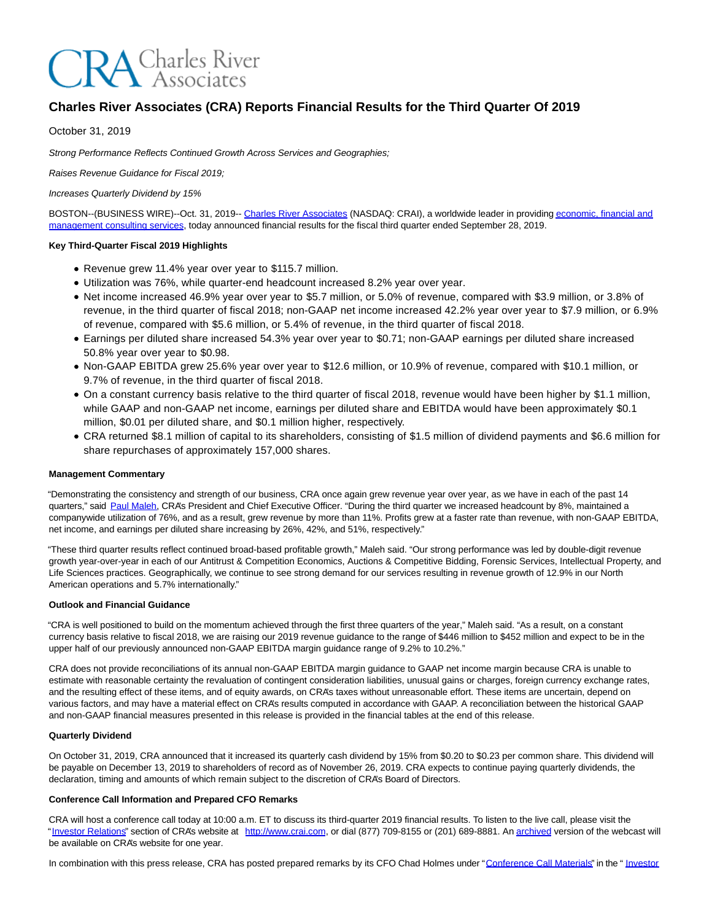# **CRA** Charles River

## **Charles River Associates (CRA) Reports Financial Results for the Third Quarter Of 2019**

October 31, 2019

Strong Performance Reflects Continued Growth Across Services and Geographies;

Raises Revenue Guidance for Fiscal 2019;

Increases Quarterly Dividend by 15%

BOSTON--(BUSINESS WIRE)--Oct. 31, 2019-- [Charles River Associates \(](https://cts.businesswire.com/ct/CT?id=smartlink&url=http%3A%2F%2Fwww.crai.com%2FDefault.aspx&esheet=52120599&newsitemid=20191031005509&lan=en-US&anchor=Charles+River+Associates&index=1&md5=e431ad434d232355569a6519d01f57f0)NASDAQ: CRAI), a worldwide leader in providin[g economic, financial and](https://cts.businesswire.com/ct/CT?id=smartlink&url=http%3A%2F%2Fwww.crai.com%2F&esheet=52120599&newsitemid=20191031005509&lan=en-US&anchor=economic%2C+financial+and+management+consulting+services&index=2&md5=cc38fc6481397b88c8da981d9b583178) management consulting services, today announced financial results for the fiscal third quarter ended September 28, 2019.

#### **Key Third-Quarter Fiscal 2019 Highlights**

- Revenue grew 11.4% year over year to \$115.7 million.
- Utilization was 76%, while quarter-end headcount increased 8.2% year over year.
- Net income increased 46.9% year over year to \$5.7 million, or 5.0% of revenue, compared with \$3.9 million, or 3.8% of revenue, in the third quarter of fiscal 2018; non-GAAP net income increased 42.2% year over year to \$7.9 million, or 6.9% of revenue, compared with \$5.6 million, or 5.4% of revenue, in the third quarter of fiscal 2018.
- Earnings per diluted share increased 54.3% year over year to \$0.71; non-GAAP earnings per diluted share increased 50.8% year over year to \$0.98.
- Non-GAAP EBITDA grew 25.6% year over year to \$12.6 million, or 10.9% of revenue, compared with \$10.1 million, or 9.7% of revenue, in the third quarter of fiscal 2018.
- On a constant currency basis relative to the third quarter of fiscal 2018, revenue would have been higher by \$1.1 million, while GAAP and non-GAAP net income, earnings per diluted share and EBITDA would have been approximately \$0.1 million, \$0.01 per diluted share, and \$0.1 million higher, respectively.
- CRA returned \$8.1 million of capital to its shareholders, consisting of \$1.5 million of dividend payments and \$6.6 million for share repurchases of approximately 157,000 shares.

#### **Management Commentary**

"Demonstrating the consistency and strength of our business, CRA once again grew revenue year over year, as we have in each of the past 14 quarters," said [Paul Maleh,](https://cts.businesswire.com/ct/CT?id=smartlink&url=http%3A%2F%2Fwww.crai.com%2Fexpert%2Fpaul-maleh&esheet=52120599&newsitemid=20191031005509&lan=en-US&anchor=Paul+Maleh&index=3&md5=cd30cb7e416b2f65bf53e95de45cb317) CRA's President and Chief Executive Officer. "During the third quarter we increased headcount by 8%, maintained a companywide utilization of 76%, and as a result, grew revenue by more than 11%. Profits grew at a faster rate than revenue, with non-GAAP EBITDA, net income, and earnings per diluted share increasing by 26%, 42%, and 51%, respectively."

"These third quarter results reflect continued broad-based profitable growth," Maleh said. "Our strong performance was led by double-digit revenue growth year-over-year in each of our Antitrust & Competition Economics, Auctions & Competitive Bidding, Forensic Services, Intellectual Property, and Life Sciences practices. Geographically, we continue to see strong demand for our services resulting in revenue growth of 12.9% in our North American operations and 5.7% internationally."

#### **Outlook and Financial Guidance**

"CRA is well positioned to build on the momentum achieved through the first three quarters of the year," Maleh said. "As a result, on a constant currency basis relative to fiscal 2018, we are raising our 2019 revenue guidance to the range of \$446 million to \$452 million and expect to be in the upper half of our previously announced non-GAAP EBITDA margin guidance range of 9.2% to 10.2%."

CRA does not provide reconciliations of its annual non-GAAP EBITDA margin guidance to GAAP net income margin because CRA is unable to estimate with reasonable certainty the revaluation of contingent consideration liabilities, unusual gains or charges, foreign currency exchange rates, and the resulting effect of these items, and of equity awards, on CRA's taxes without unreasonable effort. These items are uncertain, depend on various factors, and may have a material effect on CRA's results computed in accordance with GAAP. A reconciliation between the historical GAAP and non-GAAP financial measures presented in this release is provided in the financial tables at the end of this release.

#### **Quarterly Dividend**

On October 31, 2019, CRA announced that it increased its quarterly cash dividend by 15% from \$0.20 to \$0.23 per common share. This dividend will be payable on December 13, 2019 to shareholders of record as of November 26, 2019. CRA expects to continue paying quarterly dividends, the declaration, timing and amounts of which remain subject to the discretion of CRA's Board of Directors.

#### **Conference Call Information and Prepared CFO Remarks**

CRA will host a conference call today at 10:00 a.m. ET to discuss its third-quarter 2019 financial results. To listen to the live call, please visit the ["Investor Relations"](https://cts.businesswire.com/ct/CT?id=smartlink&url=https%3A%2F%2Fcrainternationalinc.gcs-web.com%2Finvestor-overview&esheet=52120599&newsitemid=20191031005509&lan=en-US&anchor=Investor+Relations&index=4&md5=11fe1ebfbf4b8adb6a5c3b1bd93799f7) section of CRA's website at [http://www.crai.com,](https://cts.businesswire.com/ct/CT?id=smartlink&url=http%3A%2F%2Fwww.crai.com%2FDefault.aspx&esheet=52120599&newsitemid=20191031005509&lan=en-US&anchor=http%3A%2F%2Fwww.crai.com&index=5&md5=7667944e9c64bd51900da7f99eaaba31) or dial (877) 709-8155 or (201) 689-8881. A[n archived v](https://cts.businesswire.com/ct/CT?id=smartlink&url=https%3A%2F%2Fcrainternationalinc.gcs-web.com%2Fevents-and-presentations%2Fpast-event&esheet=52120599&newsitemid=20191031005509&lan=en-US&anchor=archived&index=6&md5=bdc4d1e1d73bdc09ebcf2eb70f2316ae)ersion of the webcast will be available on CRA's website for one year.

In combination with this press release, CRA has posted prepared remarks by its CFO Chad Holmes under ["Conference Call Materials"](https://cts.businesswire.com/ct/CT?id=smartlink&url=https%3A%2F%2Fcrainternationalinc.gcs-web.com%2Ffinancial-information%2Fquarterly-results&esheet=52120599&newsitemid=20191031005509&lan=en-US&anchor=Conference+Call+Materials&index=7&md5=6ec7a935a96f0c7cd99df9148db4bbff) in the " [Investor](https://cts.businesswire.com/ct/CT?id=smartlink&url=https%3A%2F%2Fcrainternationalinc.gcs-web.com%2Finvestor-overview&esheet=52120599&newsitemid=20191031005509&lan=en-US&anchor=Investor+Relations&index=8&md5=bdad143d7f501328e1f236996bb29a5c)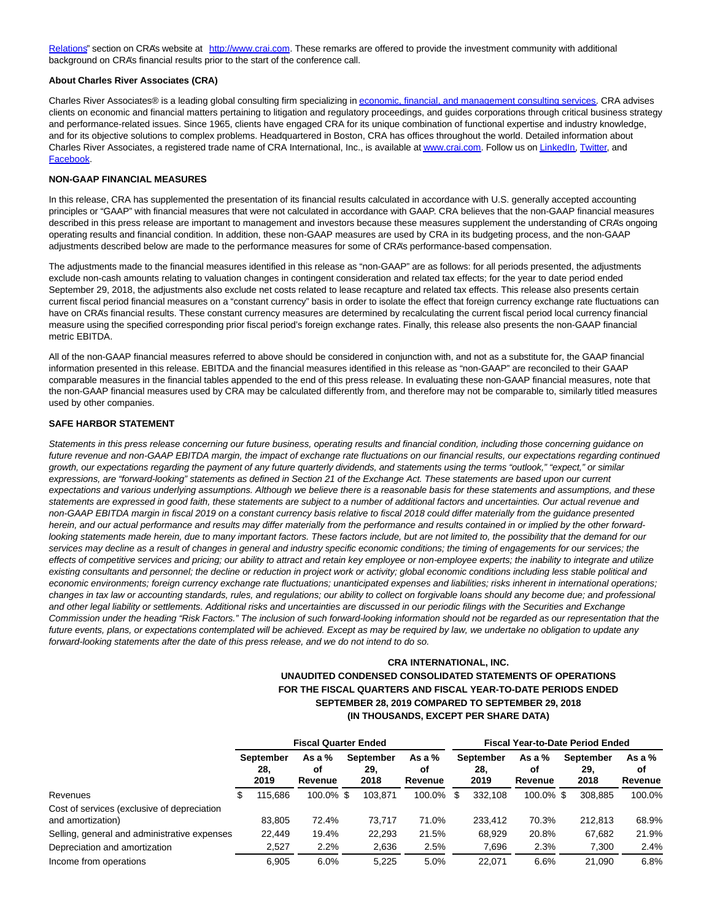[Relations"](https://cts.businesswire.com/ct/CT?id=smartlink&url=https%3A%2F%2Fcrainternationalinc.gcs-web.com%2Finvestor-overview&esheet=52120599&newsitemid=20191031005509&lan=en-US&anchor=Investor+Relations&index=8&md5=bdad143d7f501328e1f236996bb29a5c) section on CRA's website at [http://www.crai.com.](https://cts.businesswire.com/ct/CT?id=smartlink&url=http%3A%2F%2Fwww.crai.com%2FDefault.aspx&esheet=52120599&newsitemid=20191031005509&lan=en-US&anchor=http%3A%2F%2Fwww.crai.com&index=9&md5=fd9753e7fc692c39df558f88d633aac0) These remarks are offered to provide the investment community with additional background on CRA's financial results prior to the start of the conference call.

#### **About Charles River Associates (CRA)**

Charles River Associates® is a leading global consulting firm specializing i[n economic, financial, and management consulting services.](https://cts.businesswire.com/ct/CT?id=smartlink&url=http%3A%2F%2Fwww.crai.com%2F&esheet=52120599&newsitemid=20191031005509&lan=en-US&anchor=economic%2C+financial%2C+and+management+consulting+services&index=10&md5=075d35dcfabf718767a4ebd2f76eecfc) CRA advises clients on economic and financial matters pertaining to litigation and regulatory proceedings, and guides corporations through critical business strategy and performance-related issues. Since 1965, clients have engaged CRA for its unique combination of functional expertise and industry knowledge, and for its objective solutions to complex problems. Headquartered in Boston, CRA has offices throughout the world. Detailed information about Charles River Associates, a registered trade name of CRA International, Inc., is available a[t www.crai.com.](https://cts.businesswire.com/ct/CT?id=smartlink&url=http%3A%2F%2Fwww.crai.com&esheet=52120599&newsitemid=20191031005509&lan=en-US&anchor=www.crai.com&index=11&md5=6090caba4310692fa3b4af47f7aee83a) Follow us o[n LinkedIn,](https://cts.businesswire.com/ct/CT?id=smartlink&url=https%3A%2F%2Fwww.linkedin.com%2Fcompany%2Fcharles-river-associates&esheet=52120599&newsitemid=20191031005509&lan=en-US&anchor=LinkedIn&index=12&md5=d8d702b7a3dc681363fbea20b3d3be2c) [Twitter,](https://cts.businesswire.com/ct/CT?id=smartlink&url=https%3A%2F%2Ftwitter.com%2FNews_CRA&esheet=52120599&newsitemid=20191031005509&lan=en-US&anchor=Twitter&index=13&md5=e98ad8a04c1c1a1589c3d45f17c03b7c) and [Facebook.](https://cts.businesswire.com/ct/CT?id=smartlink&url=https%3A%2F%2Fwww.facebook.com%2FCharlesRiverAssociates&esheet=52120599&newsitemid=20191031005509&lan=en-US&anchor=Facebook&index=14&md5=634311f0c7ff0e727d575e0f04eb7f10)

#### **NON-GAAP FINANCIAL MEASURES**

In this release, CRA has supplemented the presentation of its financial results calculated in accordance with U.S. generally accepted accounting principles or "GAAP" with financial measures that were not calculated in accordance with GAAP. CRA believes that the non-GAAP financial measures described in this press release are important to management and investors because these measures supplement the understanding of CRA's ongoing operating results and financial condition. In addition, these non-GAAP measures are used by CRA in its budgeting process, and the non-GAAP adjustments described below are made to the performance measures for some of CRA's performance-based compensation.

The adjustments made to the financial measures identified in this release as "non-GAAP" are as follows: for all periods presented, the adjustments exclude non-cash amounts relating to valuation changes in contingent consideration and related tax effects; for the year to date period ended September 29, 2018, the adjustments also exclude net costs related to lease recapture and related tax effects. This release also presents certain current fiscal period financial measures on a "constant currency" basis in order to isolate the effect that foreign currency exchange rate fluctuations can have on CRA's financial results. These constant currency measures are determined by recalculating the current fiscal period local currency financial measure using the specified corresponding prior fiscal period's foreign exchange rates. Finally, this release also presents the non-GAAP financial metric EBITDA.

All of the non-GAAP financial measures referred to above should be considered in conjunction with, and not as a substitute for, the GAAP financial information presented in this release. EBITDA and the financial measures identified in this release as "non-GAAP" are reconciled to their GAAP comparable measures in the financial tables appended to the end of this press release. In evaluating these non-GAAP financial measures, note that the non-GAAP financial measures used by CRA may be calculated differently from, and therefore may not be comparable to, similarly titled measures used by other companies.

#### **SAFE HARBOR STATEMENT**

Statements in this press release concerning our future business, operating results and financial condition, including those concerning guidance on future revenue and non-GAAP EBITDA margin, the impact of exchange rate fluctuations on our financial results, our expectations regarding continued growth, our expectations regarding the payment of any future quarterly dividends, and statements using the terms "outlook," "expect," or similar expressions, are "forward-looking" statements as defined in Section 21 of the Exchange Act. These statements are based upon our current expectations and various underlying assumptions. Although we believe there is a reasonable basis for these statements and assumptions, and these statements are expressed in good faith, these statements are subject to a number of additional factors and uncertainties. Our actual revenue and non-GAAP EBITDA margin in fiscal 2019 on a constant currency basis relative to fiscal 2018 could differ materially from the guidance presented herein, and our actual performance and results may differ materially from the performance and results contained in or implied by the other forwardlooking statements made herein, due to many important factors. These factors include, but are not limited to, the possibility that the demand for our services may decline as a result of changes in general and industry specific economic conditions; the timing of engagements for our services; the effects of competitive services and pricing; our ability to attract and retain key employee or non-employee experts; the inability to integrate and utilize existing consultants and personnel; the decline or reduction in project work or activity; global economic conditions including less stable political and economic environments; foreign currency exchange rate fluctuations; unanticipated expenses and liabilities; risks inherent in international operations; changes in tax law or accounting standards, rules, and regulations; our ability to collect on forgivable loans should any become due; and professional and other legal liability or settlements. Additional risks and uncertainties are discussed in our periodic filings with the Securities and Exchange Commission under the heading "Risk Factors." The inclusion of such forward-looking information should not be regarded as our representation that the future events, plans, or expectations contemplated will be achieved. Except as may be required by law, we undertake no obligation to update any forward-looking statements after the date of this press release, and we do not intend to do so.

### **CRA INTERNATIONAL, INC. UNAUDITED CONDENSED CONSOLIDATED STATEMENTS OF OPERATIONS FOR THE FISCAL QUARTERS AND FISCAL YEAR-TO-DATE PERIODS ENDED SEPTEMBER 28, 2019 COMPARED TO SEPTEMBER 29, 2018 (IN THOUSANDS, EXCEPT PER SHARE DATA)**

|                                                                  | <b>Fiscal Quarter Ended</b> |                                 |                           |  |                                 |                           | <b>Fiscal Year-to-Date Period Ended</b> |                                 |                           |  |                                 |                           |
|------------------------------------------------------------------|-----------------------------|---------------------------------|---------------------------|--|---------------------------------|---------------------------|-----------------------------------------|---------------------------------|---------------------------|--|---------------------------------|---------------------------|
|                                                                  |                             | <b>September</b><br>28.<br>2019 | As a $%$<br>οf<br>Revenue |  | <b>September</b><br>29.<br>2018 | As a $%$<br>οf<br>Revenue |                                         | <b>September</b><br>28,<br>2019 | As a $%$<br>οf<br>Revenue |  | <b>September</b><br>29.<br>2018 | As a $%$<br>οf<br>Revenue |
| Revenues                                                         | S                           | 115.686                         | 100.0% \$                 |  | 103.871                         | 100.0% \$                 |                                         | 332.108                         | 100.0% \$                 |  | 308.885                         | 100.0%                    |
| Cost of services (exclusive of depreciation<br>and amortization) |                             | 83.805                          | 72.4%                     |  | 73.717                          | 71.0%                     |                                         | 233.412                         | 70.3%                     |  | 212.813                         | 68.9%                     |
| Selling, general and administrative expenses                     |                             | 22.449                          | 19.4%                     |  | 22,293                          | 21.5%                     |                                         | 68.929                          | 20.8%                     |  | 67,682                          | 21.9%                     |
| Depreciation and amortization                                    |                             | 2.527                           | 2.2%                      |  | 2,636                           | 2.5%                      |                                         | 7,696                           | 2.3%                      |  | 7,300                           | 2.4%                      |
| Income from operations                                           |                             | 6.905                           | 6.0%                      |  | 5.225                           | 5.0%                      |                                         | 22.071                          | 6.6%                      |  | 21.090                          | 6.8%                      |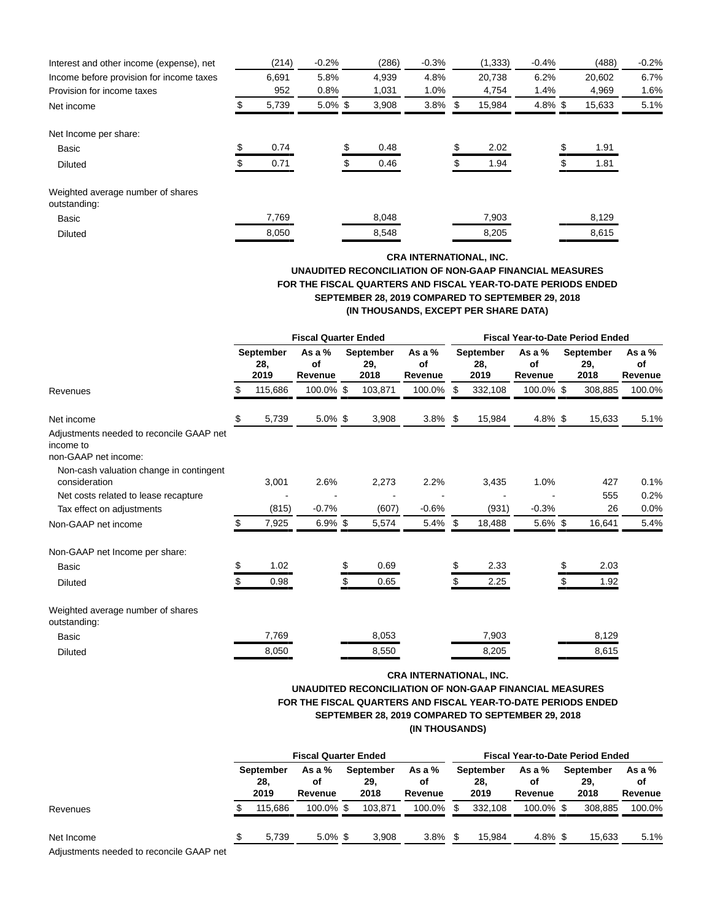| Interest and other income (expense), net          | (214) | $-0.2%$    | (286) | $-0.3%$    | (1, 333) | $-0.4%$    | (488)  | $-0.2%$ |
|---------------------------------------------------|-------|------------|-------|------------|----------|------------|--------|---------|
| Income before provision for income taxes          | 6.691 | 5.8%       | 4,939 | 4.8%       | 20.738   | 6.2%       | 20,602 | 6.7%    |
| Provision for income taxes                        | 952   | 0.8%       | 1,031 | 1.0%       | 4,754    | 1.4%       | 4,969  | 1.6%    |
| Net income                                        | 5,739 | $5.0\%$ \$ | 3,908 | $3.8\%$ \$ | 15,984   | $4.8\%$ \$ | 15,633 | 5.1%    |
| Net Income per share:                             |       |            |       |            |          |            |        |         |
| <b>Basic</b>                                      | 0.74  |            | 0.48  |            | 2.02     |            | 1.91   |         |
| Diluted                                           | 0.71  |            | 0.46  |            | 1.94     |            | 1.81   |         |
| Weighted average number of shares<br>outstanding: |       |            |       |            |          |            |        |         |
| <b>Basic</b>                                      | 7,769 |            | 8,048 |            | 7,903    |            | 8,129  |         |
| <b>Diluted</b>                                    | 8.050 |            | 8,548 |            | 8,205    |            | 8,615  |         |

## **CRA INTERNATIONAL, INC. UNAUDITED RECONCILIATION OF NON-GAAP FINANCIAL MEASURES FOR THE FISCAL QUARTERS AND FISCAL YEAR-TO-DATE PERIODS ENDED SEPTEMBER 28, 2019 COMPARED TO SEPTEMBER 29, 2018 (IN THOUSANDS, EXCEPT PER SHARE DATA)**

|                                                                               | <b>Fiscal Quarter Ended</b> |                          |                           |    |                          |                           | <b>Fiscal Year-to-Date Period Ended</b> |                          |                           |  |                          |                           |  |
|-------------------------------------------------------------------------------|-----------------------------|--------------------------|---------------------------|----|--------------------------|---------------------------|-----------------------------------------|--------------------------|---------------------------|--|--------------------------|---------------------------|--|
|                                                                               |                             | September<br>28,<br>2019 | As a $%$<br>of<br>Revenue |    | September<br>29,<br>2018 | As a $%$<br>of<br>Revenue |                                         | September<br>28.<br>2019 | As a $%$<br>of<br>Revenue |  | September<br>29.<br>2018 | As a $%$<br>of<br>Revenue |  |
| Revenues                                                                      | S                           | 115,686                  | 100.0% \$                 |    | 103,871                  | 100.0%                    | \$.                                     | 332,108                  | 100.0% \$                 |  | 308,885                  | 100.0%                    |  |
| Net income                                                                    | \$                          | 5,739                    | $5.0\%$ \$                |    | 3,908                    | $3.8\%$ \$                |                                         | 15,984                   | $4.8\%$ \$                |  | 15,633                   | 5.1%                      |  |
| Adjustments needed to reconcile GAAP net<br>income to<br>non-GAAP net income: |                             |                          |                           |    |                          |                           |                                         |                          |                           |  |                          |                           |  |
| Non-cash valuation change in contingent<br>consideration                      |                             | 3,001                    | 2.6%                      |    | 2,273                    | 2.2%                      |                                         | 3,435                    | 1.0%                      |  | 427                      | 0.1%                      |  |
| Net costs related to lease recapture<br>Tax effect on adjustments             |                             | (815)                    | $-0.7%$                   |    | (607)                    | $-0.6%$                   |                                         | (931)                    | $-0.3%$                   |  | 555<br>26                | 0.2%<br>0.0%              |  |
| Non-GAAP net income                                                           |                             | 7,925                    | $6.9\%$ \$                |    | 5,574                    | $5.4\%$ \$                |                                         | 18,488                   | $5.6\%$ \$                |  | 16,641                   | 5.4%                      |  |
| Non-GAAP net Income per share:                                                |                             |                          |                           |    |                          |                           |                                         |                          |                           |  |                          |                           |  |
| Basic                                                                         | S.                          | 1.02                     |                           | \$ | 0.69                     |                           |                                         | 2.33                     |                           |  | 2.03                     |                           |  |
| <b>Diluted</b>                                                                | S                           | 0.98                     |                           | \$ | 0.65                     |                           |                                         | 2.25                     |                           |  | 1.92                     |                           |  |
| Weighted average number of shares<br>outstanding:                             |                             |                          |                           |    |                          |                           |                                         |                          |                           |  |                          |                           |  |
| Basic                                                                         |                             | 7,769                    |                           |    | 8,053                    |                           |                                         | 7,903                    |                           |  | 8,129                    |                           |  |
| <b>Diluted</b>                                                                |                             | 8,050                    |                           |    | 8,550                    |                           |                                         | 8,205                    |                           |  | 8,615                    |                           |  |

## **CRA INTERNATIONAL, INC. UNAUDITED RECONCILIATION OF NON-GAAP FINANCIAL MEASURES FOR THE FISCAL QUARTERS AND FISCAL YEAR-TO-DATE PERIODS ENDED SEPTEMBER 28, 2019 COMPARED TO SEPTEMBER 29, 2018 (IN THOUSANDS)**

|                                                        | <b>Fiscal Quarter Ended</b> |                                 |                           |  |                                 |                         | <b>Fiscal Year-to-Date Period Ended</b> |                                 |                           |  |                                 |                           |  |
|--------------------------------------------------------|-----------------------------|---------------------------------|---------------------------|--|---------------------------------|-------------------------|-----------------------------------------|---------------------------------|---------------------------|--|---------------------------------|---------------------------|--|
|                                                        |                             | <b>September</b><br>28,<br>2019 | As a $%$<br>οf<br>Revenue |  | <b>September</b><br>29.<br>2018 | As a %<br>оf<br>Revenue |                                         | <b>September</b><br>28.<br>2019 | As a $%$<br>οf<br>Revenue |  | <b>September</b><br>29,<br>2018 | As a $%$<br>οf<br>Revenue |  |
| Revenues                                               |                             | 115.686                         | 100.0% \$                 |  | 103.871                         | 100.0%                  |                                         | 332.108                         | 100.0% \$                 |  | 308.885                         | 100.0%                    |  |
| Net Income<br>Adjustments needed to reconcile GAAP net |                             | 5,739                           | $5.0\%$ \$                |  | 3,908                           | $3.8\%$                 |                                         | 15.984                          | 4.8% \$                   |  | 15,633                          | 5.1%                      |  |

Adjustments needed to reconcile GAAP net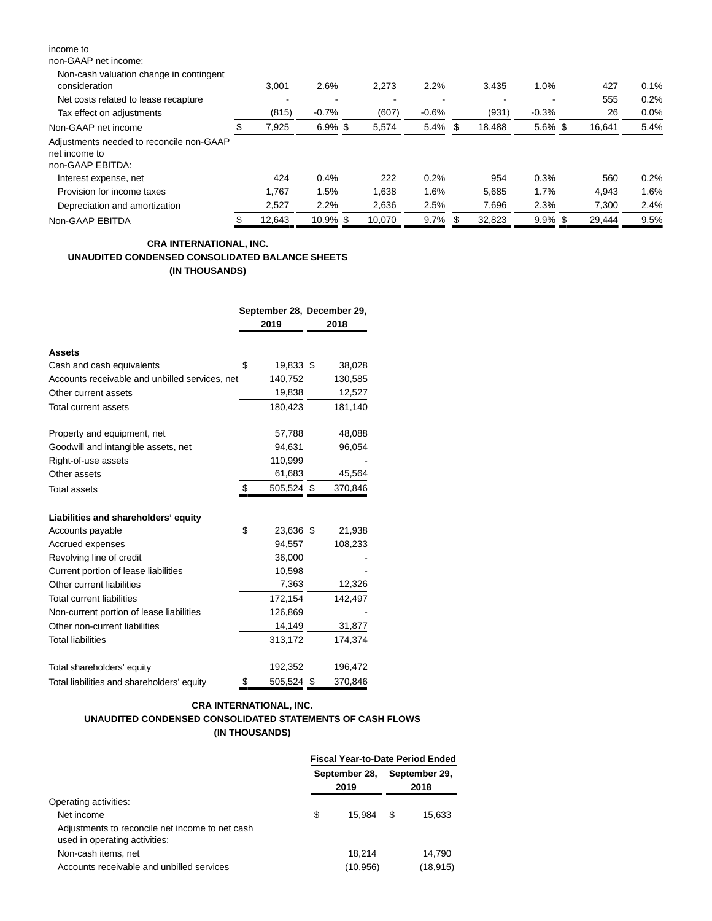| income to                                                                     |        |            |                          |         |     |                          |            |        |      |
|-------------------------------------------------------------------------------|--------|------------|--------------------------|---------|-----|--------------------------|------------|--------|------|
| non-GAAP net income:                                                          |        |            |                          |         |     |                          |            |        |      |
| Non-cash valuation change in contingent<br>consideration                      | 3.001  | 2.6%       | 2,273                    | 2.2%    |     | 3,435                    | 1.0%       | 427    | 0.1% |
| Net costs related to lease recapture                                          |        |            | $\overline{\phantom{0}}$ |         |     | $\overline{\phantom{0}}$ |            | 555    | 0.2% |
| Tax effect on adjustments                                                     | (815)  | $-0.7%$    | (607)                    | $-0.6%$ |     | (931)                    | $-0.3%$    | 26     | 0.0% |
| Non-GAAP net income                                                           | 7.925  | $6.9\%$ \$ | 5,574                    | 5.4%    | -S  | 18,488                   | $5.6\%$ \$ | 16,641 | 5.4% |
| Adjustments needed to reconcile non-GAAP<br>net income to<br>non-GAAP EBITDA: |        |            |                          |         |     |                          |            |        |      |
| Interest expense, net                                                         | 424    | 0.4%       | 222                      | 0.2%    |     | 954                      | 0.3%       | 560    | 0.2% |
| Provision for income taxes                                                    | 1.767  | 1.5%       | 1,638                    | 1.6%    |     | 5,685                    | 1.7%       | 4.943  | 1.6% |
| Depreciation and amortization                                                 | 2,527  | 2.2%       | 2,636                    | 2.5%    |     | 7,696                    | 2.3%       | 7,300  | 2.4% |
| Non-GAAP EBITDA                                                               | 12.643 | 10.9% \$   | 10.070                   | $9.7\%$ | -35 | 32.823                   | $9.9\%$ \$ | 29.444 | 9.5% |

## **CRA INTERNATIONAL, INC. UNAUDITED CONDENSED CONSOLIDATED BALANCE SHEETS (IN THOUSANDS)**

|                                                | September 28, December 29,<br>2019 | 2018    |
|------------------------------------------------|------------------------------------|---------|
| Assets                                         |                                    |         |
| Cash and cash equivalents                      | \$<br>19,833 \$                    | 38,028  |
| Accounts receivable and unbilled services, net | 140,752                            | 130,585 |
| Other current assets                           | 19,838                             | 12,527  |
| <b>Total current assets</b>                    | 180,423                            | 181,140 |
| Property and equipment, net                    | 57,788                             | 48,088  |
| Goodwill and intangible assets, net            | 94,631                             | 96,054  |
| Right-of-use assets                            | 110,999                            |         |
| Other assets                                   | 61,683                             | 45,564  |
| Total assets                                   | \$<br>505,524 \$                   | 370,846 |
| Liabilities and shareholders' equity           |                                    |         |
| Accounts payable                               | \$<br>23,636 \$                    | 21,938  |
| Accrued expenses                               | 94,557                             | 108,233 |
| Revolving line of credit                       | 36,000                             |         |
| Current portion of lease liabilities           | 10,598                             |         |
| Other current liabilities                      | 7,363                              | 12,326  |
| <b>Total current liabilities</b>               | 172,154                            | 142,497 |
| Non-current portion of lease liabilities       | 126,869                            |         |
| Other non-current liabilities                  | 14,149                             | 31,877  |
| <b>Total liabilities</b>                       | 313,172                            | 174,374 |
| Total shareholders' equity                     | 192,352                            | 196,472 |
| Total liabilities and shareholders' equity     | \$<br>505,524 \$                   | 370,846 |

## **CRA INTERNATIONAL, INC. UNAUDITED CONDENSED CONSOLIDATED STATEMENTS OF CASH FLOWS (IN THOUSANDS)**

|                                                                                  | <b>Fiscal Year-to-Date Period Ended</b> |          |      |               |  |  |  |
|----------------------------------------------------------------------------------|-----------------------------------------|----------|------|---------------|--|--|--|
|                                                                                  | September 28,                           |          |      | September 29, |  |  |  |
|                                                                                  |                                         | 2019     | 2018 |               |  |  |  |
| Operating activities:                                                            |                                         |          |      |               |  |  |  |
| Net income                                                                       | \$                                      | 15.984   | \$.  | 15.633        |  |  |  |
| Adjustments to reconcile net income to net cash<br>used in operating activities: |                                         |          |      |               |  |  |  |
| Non-cash items, net                                                              |                                         | 18.214   |      | 14.790        |  |  |  |
| Accounts receivable and unbilled services                                        |                                         | (10,956) |      | (18, 915)     |  |  |  |